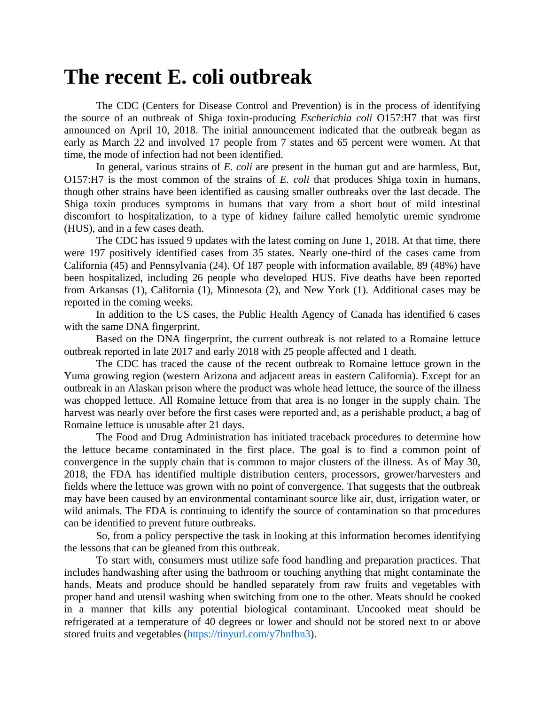## **The recent E. coli outbreak**

The CDC (Centers for Disease Control and Prevention) is in the process of identifying the source of an outbreak of Shiga toxin-producing *Escherichia coli* O157:H7 that was first announced on April 10, 2018. The initial announcement indicated that the outbreak began as early as March 22 and involved 17 people from 7 states and 65 percent were women. At that time, the mode of infection had not been identified.

In general, various strains of *E. coli* are present in the human gut and are harmless, But, O157:H7 is the most common of the strains of *E. coli* that produces Shiga toxin in humans, though other strains have been identified as causing smaller outbreaks over the last decade. The Shiga toxin produces symptoms in humans that vary from a short bout of mild intestinal discomfort to hospitalization, to a type of kidney failure called hemolytic uremic syndrome (HUS), and in a few cases death.

The CDC has issued 9 updates with the latest coming on June 1, 2018. At that time, there were 197 positively identified cases from 35 states. Nearly one-third of the cases came from California (45) and Pennsylvania (24). Of 187 people with information available, 89 (48%) have been hospitalized, including 26 people who developed HUS. Five deaths have been reported from Arkansas (1), California (1), Minnesota (2), and New York (1). Additional cases may be reported in the coming weeks.

In addition to the US cases, the Public Health Agency of Canada has identified 6 cases with the same DNA fingerprint.

Based on the DNA fingerprint, the current outbreak is not related to a Romaine lettuce outbreak reported in late 2017 and early 2018 with 25 people affected and 1 death.

The CDC has traced the cause of the recent outbreak to Romaine lettuce grown in the Yuma growing region (western Arizona and adjacent areas in eastern California). Except for an outbreak in an Alaskan prison where the product was whole head lettuce, the source of the illness was chopped lettuce. All Romaine lettuce from that area is no longer in the supply chain. The harvest was nearly over before the first cases were reported and, as a perishable product, a bag of Romaine lettuce is unusable after 21 days.

The Food and Drug Administration has initiated traceback procedures to determine how the lettuce became contaminated in the first place. The goal is to find a common point of convergence in the supply chain that is common to major clusters of the illness. As of May 30, 2018, the FDA has identified multiple distribution centers, processors, grower/harvesters and fields where the lettuce was grown with no point of convergence. That suggests that the outbreak may have been caused by an environmental contaminant source like air, dust, irrigation water, or wild animals. The FDA is continuing to identify the source of contamination so that procedures can be identified to prevent future outbreaks.

So, from a policy perspective the task in looking at this information becomes identifying the lessons that can be gleaned from this outbreak.

To start with, consumers must utilize safe food handling and preparation practices. That includes handwashing after using the bathroom or touching anything that might contaminate the hands. Meats and produce should be handled separately from raw fruits and vegetables with proper hand and utensil washing when switching from one to the other. Meats should be cooked in a manner that kills any potential biological contaminant. Uncooked meat should be refrigerated at a temperature of 40 degrees or lower and should not be stored next to or above stored fruits and vegetables [\(https://tinyurl.com/y7hnfbn3\)](https://tinyurl.com/y7hnfbn3).